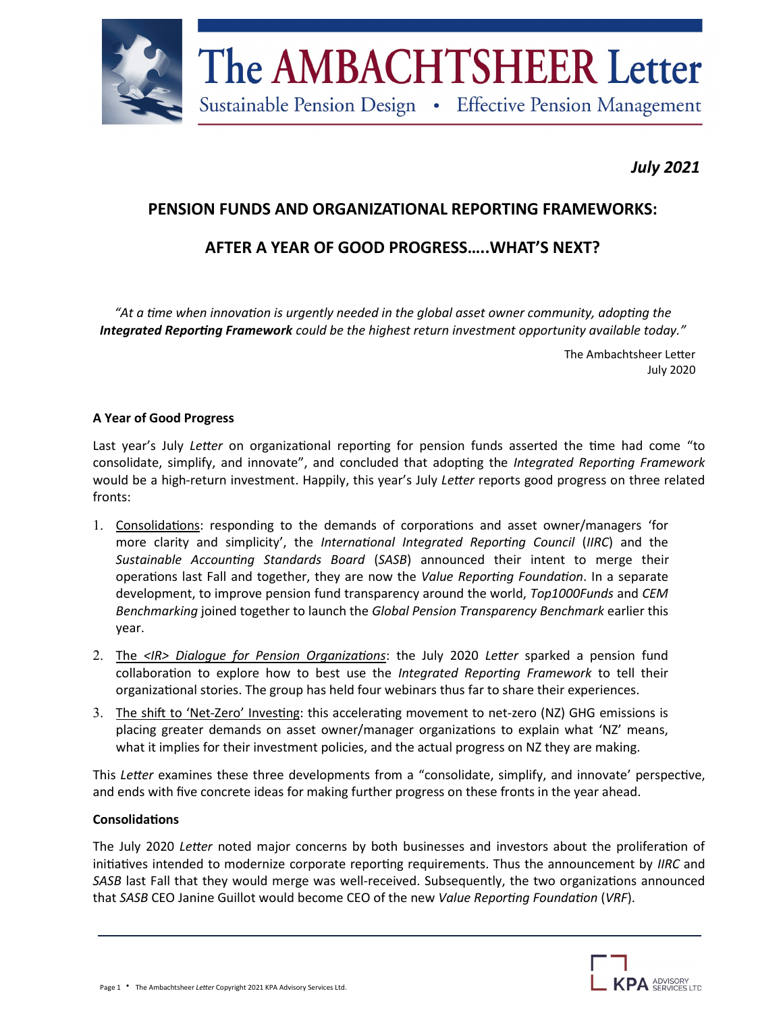

# *July 2021*

# **PENSION FUNDS AND ORGANIZATIONAL REPORTING FRAMEWORKS:**

# **AFTER A YEAR OF GOOD PROGRESS…..WHAT'S NEXT?**

*"At a time when innovation is urgently needed in the global asset owner community, adopting the Integrated Reporting Framework could be the highest return investment opportunity available today."*

> The Ambachtsheer Letter July 2020

## **A Year of Good Progress**

Last year's July *Letter* on organizational reporting for pension funds asserted the time had come "to consolidate, simplify, and innovate", and concluded that adopting the *Integrated Reporting Framework*  would be a high-return investment. Happily, this year's July *Letter* reports good progress on three related fronts:

- 1. Consolidations: responding to the demands of corporations and asset owner/managers 'for more clarity and simplicity', the *International Integrated Reporting Council* (*IIRC*) and the *Sustainable Accounting Standards Board* (*SASB*) announced their intent to merge their operations last Fall and together, they are now the *Value Reporting Foundation*. In a separate development, to improve pension fund transparency around the world, *Top1000Funds* and *CEM Benchmarking* joined together to launch the *Global Pension Transparency Benchmark* earlier this year.
- The *<IR> Dialogue for Pension Organizations*: the July 2020 *Letter* sparked a pension fund collaboration to explore how to best use the *Integrated Reporting Framework* to tell their organizational stories. The group has held four webinars thus far to share their experiences.
- 3. The shift to 'Net-Zero' Investing: this accelerating movement to net-zero (NZ) GHG emissions is placing greater demands on asset owner/manager organizations to explain what 'NZ' means, what it implies for their investment policies, and the actual progress on NZ they are making.

This *Letter* examines these three developments from a "consolidate, simplify, and innovate' perspective, and ends with five concrete ideas for making further progress on these fronts in the year ahead.

## **Consolidations**

The July 2020 *Letter* noted major concerns by both businesses and investors about the proliferation of initiatives intended to modernize corporate reporting requirements. Thus the announcement by *IIRC* and *SASB* last Fall that they would merge was well-received. Subsequently, the two organizations announced that *SASB* CEO Janine Guillot would become CEO of the new *Value Reporting Foundation* (*VRF*).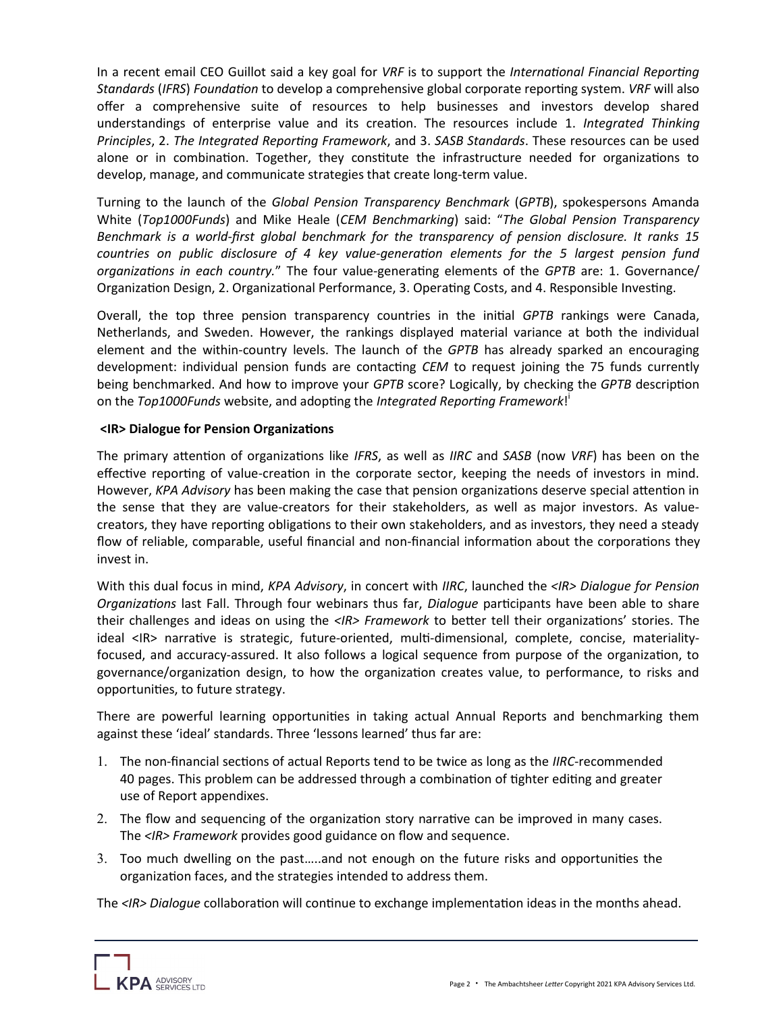In a recent email CEO Guillot said a key goal for *VRF* is to support the *International Financial Reporting Standards* (*IFRS*) *Foundation* to develop a comprehensive global corporate reporting system. *VRF* will also offer a comprehensive suite of resources to help businesses and investors develop shared understandings of enterprise value and its creation. The resources include 1. *Integrated Thinking Principles*, 2. *The Integrated Reporting Framework*, and 3. *SASB Standards*. These resources can be used alone or in combination. Together, they constitute the infrastructure needed for organizations to develop, manage, and communicate strategies that create long-term value.

Turning to the launch of the *Global Pension Transparency Benchmark* (*GPTB*), spokespersons Amanda White (*Top1000Funds*) and Mike Heale (*CEM Benchmarking*) said: "*The Global Pension Transparency Benchmark is a world-first global benchmark for the transparency of pension disclosure. It ranks 15 countries on public disclosure of 4 key value-generation elements for the 5 largest pension fund organizations in each country.*" The four value-generating elements of the *GPTB* are: 1. Governance/ Organization Design, 2. Organizational Performance, 3. Operating Costs, and 4. Responsible Investing.

Overall, the top three pension transparency countries in the initial *GPTB* rankings were Canada, Netherlands, and Sweden. However, the rankings displayed material variance at both the individual element and the within-country levels. The launch of the *GPTB* has already sparked an encouraging development: individual pension funds are contacting *CEM* to request joining the 75 funds currently being benchmarked. And how to improve your *GPTB* score? Logically, by checking the *GPTB* description on the *Top1000Funds* website, and adopting the *Integrated Reporting Framework*! i

### **<IR> Dialogue for Pension Organizations**

The primary attention of organizations like *IFRS*, as well as *IIRC* and *SASB* (now *VRF*) has been on the effective reporting of value-creation in the corporate sector, keeping the needs of investors in mind. However, *KPA Advisory* has been making the case that pension organizations deserve special attention in the sense that they are value-creators for their stakeholders, as well as major investors. As valuecreators, they have reporting obligations to their own stakeholders, and as investors, they need a steady flow of reliable, comparable, useful financial and non-financial information about the corporations they invest in.

With this dual focus in mind, *KPA Advisory*, in concert with *IIRC*, launched the *<IR> Dialogue for Pension Organizations* last Fall. Through four webinars thus far, *Dialogue* participants have been able to share their challenges and ideas on using the *<IR> Framework* to better tell their organizations' stories. The ideal <IR> narrative is strategic, future-oriented, multi-dimensional, complete, concise, materialityfocused, and accuracy-assured. It also follows a logical sequence from purpose of the organization, to governance/organization design, to how the organization creates value, to performance, to risks and opportunities, to future strategy.

There are powerful learning opportunities in taking actual Annual Reports and benchmarking them against these 'ideal' standards. Three 'lessons learned' thus far are:

- The non-financial sections of actual Reports tend to be twice as long as the *IIRC*-recommended 40 pages. This problem can be addressed through a combination of tighter editing and greater use of Report appendixes.
- The flow and sequencing of the organization story narrative can be improved in many cases. The *<IR> Framework* provides good guidance on flow and sequence.
- Too much dwelling on the past…..and not enough on the future risks and opportunities the organization faces, and the strategies intended to address them.

The *<IR> Dialogue* collaboration will continue to exchange implementation ideas in the months ahead.

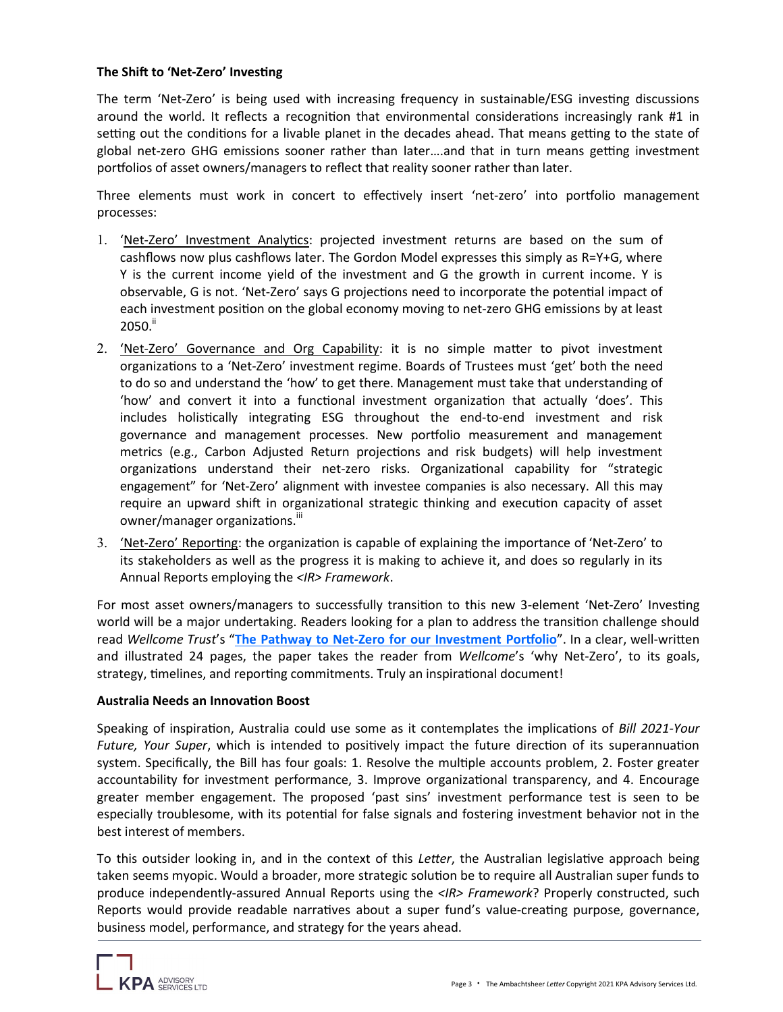### **The Shift to 'Net-Zero' Investing**

The term 'Net-Zero' is being used with increasing frequency in sustainable/ESG investing discussions around the world. It reflects a recognition that environmental considerations increasingly rank #1 in setting out the conditions for a livable planet in the decades ahead. That means getting to the state of global net-zero GHG emissions sooner rather than later….and that in turn means getting investment portfolios of asset owners/managers to reflect that reality sooner rather than later.

Three elements must work in concert to effectively insert 'net-zero' into portfolio management processes:

- 'Net-Zero' Investment Analytics: projected investment returns are based on the sum of cashflows now plus cashflows later. The Gordon Model expresses this simply as R=Y+G, where Y is the current income yield of the investment and G the growth in current income. Y is observable, G is not. 'Net-Zero' says G projections need to incorporate the potential impact of each investment position on the global economy moving to net-zero GHG emissions by at least  $2050.<sup>ii</sup>$
- 2. 'Net-Zero' Governance and Org Capability: it is no simple matter to pivot investment organizations to a 'Net-Zero' investment regime. Boards of Trustees must 'get' both the need to do so and understand the 'how' to get there. Management must take that understanding of 'how' and convert it into a functional investment organization that actually 'does'. This includes holistically integrating ESG throughout the end-to-end investment and risk governance and management processes. New portfolio measurement and management metrics (e.g., Carbon Adjusted Return projections and risk budgets) will help investment organizations understand their net-zero risks. Organizational capability for "strategic engagement" for 'Net-Zero' alignment with investee companies is also necessary. All this may require an upward shift in organizational strategic thinking and execution capacity of asset owner/manager organizations.<sup>iii</sup>
- 3. <u>'Net-Zero' Reporting</u>: the organization is capable of explaining the importance of 'Net-Zero' to its stakeholders as well as the progress it is making to achieve it, and does so regularly in its Annual Reports employing the *<IR> Framework*.

For most asset owners/managers to successfully transition to this new 3-element 'Net-Zero' Investing world will be a major undertaking. Readers looking for a plan to address the transition challenge should read *Wellcome Trust*'s "**The Pathway to Net-[Zero for our Investment Portfolio](https://cms.wellcome.org/sites/default/files/2021-07/the-pathway-to-net-zero-for-our-investment-portfolio.pdf)**". In a clear, well-written and illustrated 24 pages, the paper takes the reader from *Wellcome*'s 'why Net-Zero', to its goals, strategy, timelines, and reporting commitments. Truly an inspirational document!

#### **Australia Needs an Innovation Boost**

Speaking of inspiration, Australia could use some as it contemplates the implications of *Bill 2021-Your Future, Your Super*, which is intended to positively impact the future direction of its superannuation system. Specifically, the Bill has four goals: 1. Resolve the multiple accounts problem, 2. Foster greater accountability for investment performance, 3. Improve organizational transparency, and 4. Encourage greater member engagement. The proposed 'past sins' investment performance test is seen to be especially troublesome, with its potential for false signals and fostering investment behavior not in the best interest of members.

To this outsider looking in, and in the context of this *Letter*, the Australian legislative approach being taken seems myopic. Would a broader, more strategic solution be to require all Australian super funds to produce independently-assured Annual Reports using the *<IR> Framework*? Properly constructed, such Reports would provide readable narratives about a super fund's value-creating purpose, governance, business model, performance, and strategy for the years ahead.